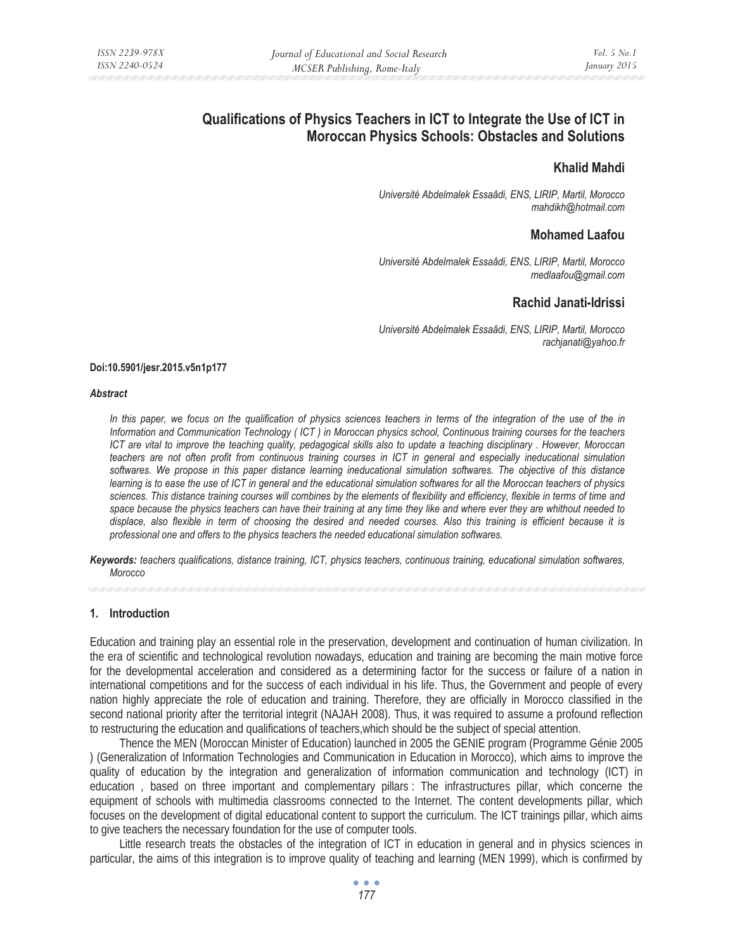# **Qualifications of Physics Teachers in ICT to Integrate the Use of ICT in Moroccan Physics Schools: Obstacles and Solutions**

# **Khalid Mahdi**

*Université Abdelmalek Essaâdi, ENS, LIRIP, Martil, Morocco mahdikh@hotmail.com* 

# **Mohamed Laafou**

*Université Abdelmalek Essaâdi, ENS, LIRIP, Martil, Morocco medlaafou@gmail.com* 

# **Rachid Janati-Idrissi**

*Université Abdelmalek Essaâdi, ENS, LIRIP, Martil, Morocco rachjanati@yahoo.fr* 

#### **Doi:10.5901/jesr.2015.v5n1p177**

#### *Abstract*

*In this paper, we focus on the qualification of physics sciences teachers in terms of the integration of the use of the in Information and Communication Technology ( ICT ) in Moroccan physics school, Continuous training courses for the teachers ICT are vital to improve the teaching quality, pedagogical skills also to update a teaching disciplinary . However, Moroccan teachers are not often profit from continuous training courses in ICT in general and especially ineducational simulation softwares. We propose in this paper distance learning ineducational simulation softwares. The objective of this distance learning is to ease the use of ICT in general and the educational simulation softwares for all the Moroccan teachers of physics sciences. This distance training courses will combines by the elements of flexibility and efficiency, flexible in terms of time and space because the physics teachers can have their training at any time they like and where ever they are whithout needed to displace, also flexible in term of choosing the desired and needed courses. Also this training is efficient because it is professional one and offers to the physics teachers the needed educational simulation softwares.* 

*Keywords: teachers qualifications, distance training, ICT, physics teachers, continuous training, educational simulation softwares, Morocco* 

### **1. Introduction**

Education and training play an essential role in the preservation, development and continuation of human civilization. In the era of scientific and technological revolution nowadays, education and training are becoming the main motive force for the developmental acceleration and considered as a determining factor for the success or failure of a nation in international competitions and for the success of each individual in his life. Thus, the Government and people of every nation highly appreciate the role of education and training. Therefore, they are officially in Morocco classified in the second national priority after the territorial integrit (NAJAH 2008). Thus, it was required to assume a profound reflection to restructuring the education and qualifications of teachers,which should be the subject of special attention.

Thence the MEN (Moroccan Minister of Education) launched in 2005 the GENIE program (Programme Génie 2005 ) (Generalization of Information Technologies and Communication in Education in Morocco), which aims to improve the quality of education by the integration and generalization of information communication and technology (ICT) in education , based on three important and complementary pillars : The infrastructures pillar, which concerne the equipment of schools with multimedia classrooms connected to the Internet. The content developments pillar, which focuses on the development of digital educational content to support the curriculum. The ICT trainings pillar, which aims to give teachers the necessary foundation for the use of computer tools.

Little research treats the obstacles of the integration of ICT in education in general and in physics sciences in particular, the aims of this integration is to improve quality of teaching and learning (MEN 1999), which is confirmed by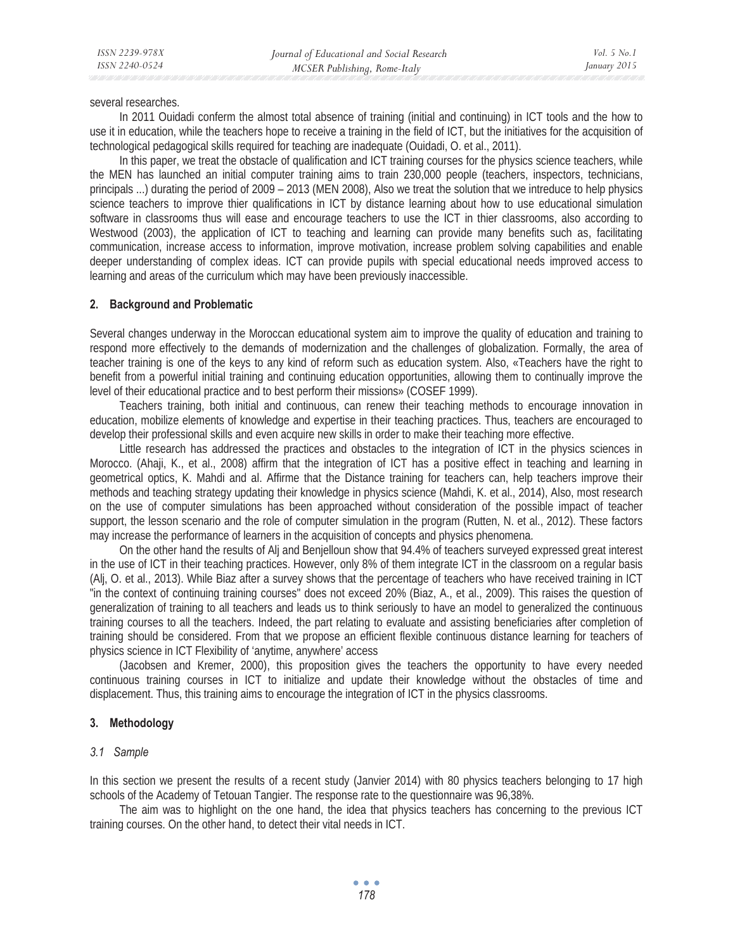several researches.

In 2011 Ouidadi conferm the almost total absence of training (initial and continuing) in ICT tools and the how to use it in education, while the teachers hope to receive a training in the field of ICT, but the initiatives for the acquisition of technological pedagogical skills required for teaching are inadequate (Ouidadi, O. et al., 2011).

In this paper, we treat the obstacle of qualification and ICT training courses for the physics science teachers, while the MEN has launched an initial computer training aims to train 230,000 people (teachers, inspectors, technicians, principals ...) durating the period of 2009 – 2013 (MEN 2008), Also we treat the solution that we intreduce to help physics science teachers to improve thier qualifications in ICT by distance learning about how to use educational simulation software in classrooms thus will ease and encourage teachers to use the ICT in thier classrooms, also according to Westwood (2003), the application of ICT to teaching and learning can provide many benefits such as, facilitating communication, increase access to information, improve motivation, increase problem solving capabilities and enable deeper understanding of complex ideas. ICT can provide pupils with special educational needs improved access to learning and areas of the curriculum which may have been previously inaccessible.

### **2. Background and Problematic**

Several changes underway in the Moroccan educational system aim to improve the quality of education and training to respond more effectively to the demands of modernization and the challenges of globalization. Formally, the area of teacher training is one of the keys to any kind of reform such as education system. Also, «Teachers have the right to benefit from a powerful initial training and continuing education opportunities, allowing them to continually improve the level of their educational practice and to best perform their missions» (COSEF 1999).

Teachers training, both initial and continuous, can renew their teaching methods to encourage innovation in education, mobilize elements of knowledge and expertise in their teaching practices. Thus, teachers are encouraged to develop their professional skills and even acquire new skills in order to make their teaching more effective.

Little research has addressed the practices and obstacles to the integration of ICT in the physics sciences in Morocco. (Ahaji, K., et al., 2008) affirm that the integration of ICT has a positive effect in teaching and learning in geometrical optics, K. Mahdi and al. Affirme that the Distance training for teachers can, help teachers improve their methods and teaching strategy updating their knowledge in physics science (Mahdi, K. et al., 2014), Also, most research on the use of computer simulations has been approached without consideration of the possible impact of teacher support, the lesson scenario and the role of computer simulation in the program (Rutten, N. et al., 2012). These factors may increase the performance of learners in the acquisition of concepts and physics phenomena.

On the other hand the results of Alj and Benjelloun show that 94.4% of teachers surveyed expressed great interest in the use of ICT in their teaching practices. However, only 8% of them integrate ICT in the classroom on a regular basis (Alj, O. et al., 2013). While Biaz after a survey shows that the percentage of teachers who have received training in ICT "in the context of continuing training courses" does not exceed 20% (Biaz, A., et al., 2009). This raises the question of generalization of training to all teachers and leads us to think seriously to have an model to generalized the continuous training courses to all the teachers. Indeed, the part relating to evaluate and assisting beneficiaries after completion of training should be considered. From that we propose an efficient flexible continuous distance learning for teachers of physics science in ICT Flexibility of 'anytime, anywhere' access

(Jacobsen and Kremer, 2000), this proposition gives the teachers the opportunity to have every needed continuous training courses in ICT to initialize and update their knowledge without the obstacles of time and displacement. Thus, this training aims to encourage the integration of ICT in the physics classrooms.

### **3. Methodology**

#### *3.1 Sample*

In this section we present the results of a recent study (Janvier 2014) with 80 physics teachers belonging to 17 high schools of the Academy of Tetouan Tangier. The response rate to the questionnaire was 96,38%.

The aim was to highlight on the one hand, the idea that physics teachers has concerning to the previous ICT training courses. On the other hand, to detect their vital needs in ICT.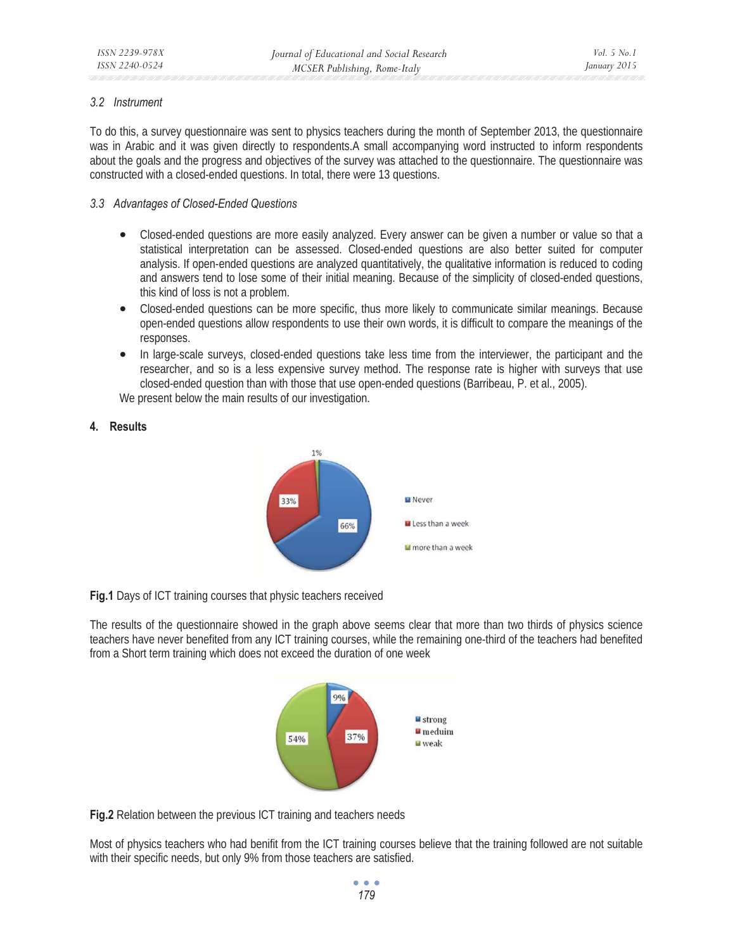### *3.2 Instrument*

To do this, a survey questionnaire was sent to physics teachers during the month of September 2013, the questionnaire was in Arabic and it was given directly to respondents.A small accompanying word instructed to inform respondents about the goals and the progress and objectives of the survey was attached to the questionnaire. The questionnaire was constructed with a closed-ended questions. In total, there were 13 questions.

### *3.3 Advantages of Closed-Ended Questions*

- Closed-ended questions are more easily analyzed. Every answer can be given a number or value so that a statistical interpretation can be assessed. Closed-ended questions are also better suited for computer analysis. If open-ended questions are analyzed quantitatively, the qualitative information is reduced to coding and answers tend to lose some of their initial meaning. Because of the simplicity of closed-ended questions, this kind of loss is not a problem.
- Closed-ended questions can be more specific, thus more likely to communicate similar meanings. Because open-ended questions allow respondents to use their own words, it is difficult to compare the meanings of the responses.
- In large-scale surveys, closed-ended questions take less time from the interviewer, the participant and the researcher, and so is a less expensive survey method. The response rate is higher with surveys that use closed-ended question than with those that use open-ended questions (Barribeau, P. et al., 2005).

We present below the main results of our investigation.

# **4. Results**



**Fig.1** Days of ICT training courses that physic teachers received

The results of the questionnaire showed in the graph above seems clear that more than two thirds of physics science teachers have never benefited from any ICT training courses, while the remaining one-third of the teachers had benefited from a Short term training which does not exceed the duration of one week



**Fig.2** Relation between the previous ICT training and teachers needs

Most of physics teachers who had benifit from the ICT training courses believe that the training followed are not suitable with their specific needs, but only 9% from those teachers are satisfied.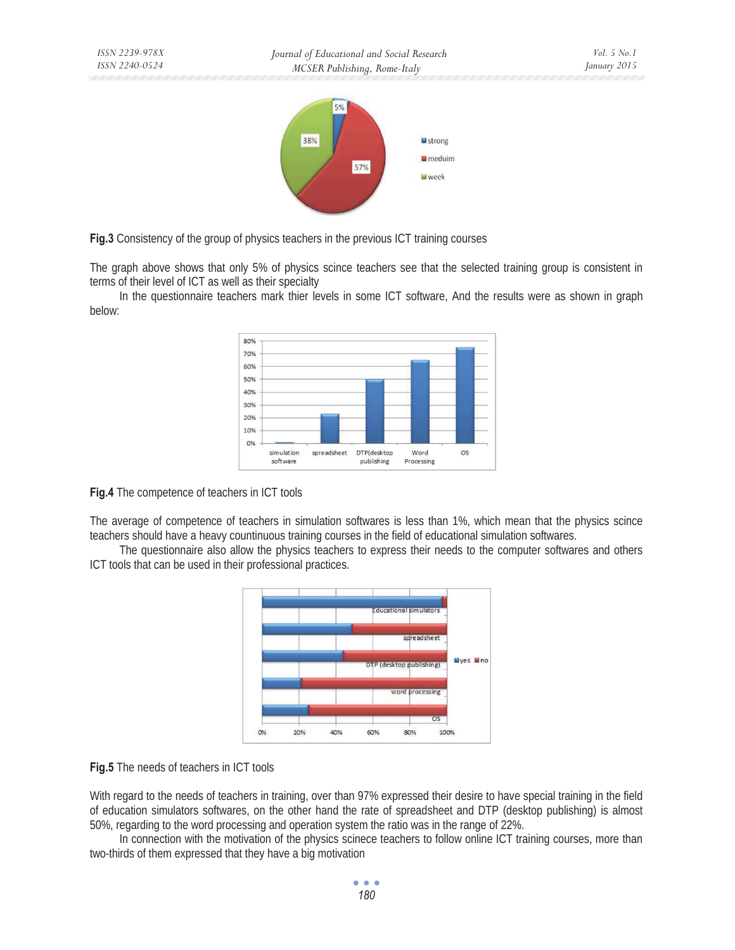

**Fig.3** Consistency of the group of physics teachers in the previous ICT training courses

The graph above shows that only 5% of physics scince teachers see that the selected training group is consistent in terms of their level of ICT as well as their specialty

In the questionnaire teachers mark thier levels in some ICT software, And the results were as shown in graph below:



**Fig.4** The competence of teachers in ICT tools

The average of competence of teachers in simulation softwares is less than 1%, which mean that the physics scince teachers should have a heavy countinuous training courses in the field of educational simulation softwares.

The questionnaire also allow the physics teachers to express their needs to the computer softwares and others ICT tools that can be used in their professional practices.



**Fig.5** The needs of teachers in ICT tools

With regard to the needs of teachers in training, over than 97% expressed their desire to have special training in the field of education simulators softwares, on the other hand the rate of spreadsheet and DTP (desktop publishing) is almost 50%, regarding to the word processing and operation system the ratio was in the range of 22%.

In connection with the motivation of the physics scinece teachers to follow online ICT training courses, more than two-thirds of them expressed that they have a big motivation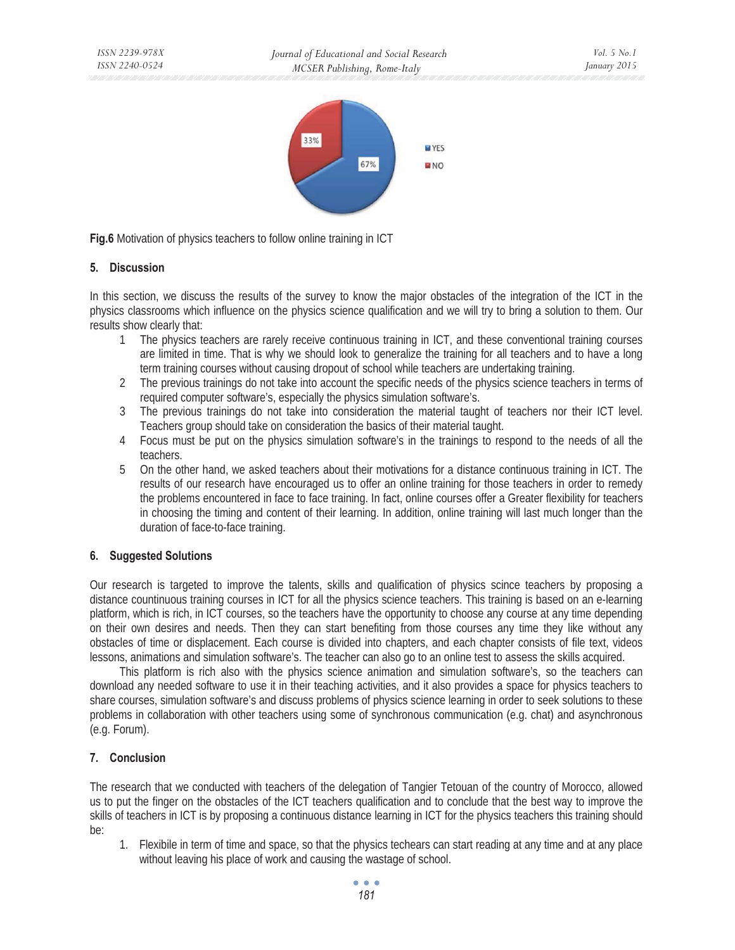

**Fig.6** Motivation of physics teachers to follow online training in ICT

# **5. Discussion**

In this section, we discuss the results of the survey to know the major obstacles of the integration of the ICT in the physics classrooms which influence on the physics science qualification and we will try to bring a solution to them. Our results show clearly that:

- 1 The physics teachers are rarely receive continuous training in ICT, and these conventional training courses are limited in time. That is why we should look to generalize the training for all teachers and to have a long term training courses without causing dropout of school while teachers are undertaking training.
- 2 The previous trainings do not take into account the specific needs of the physics science teachers in terms of required computer software's, especially the physics simulation software's.
- 3 The previous trainings do not take into consideration the material taught of teachers nor their ICT level. Teachers group should take on consideration the basics of their material taught.
- 4 Focus must be put on the physics simulation software's in the trainings to respond to the needs of all the teachers.
- 5 On the other hand, we asked teachers about their motivations for a distance continuous training in ICT. The results of our research have encouraged us to offer an online training for those teachers in order to remedy the problems encountered in face to face training. In fact, online courses offer a Greater flexibility for teachers in choosing the timing and content of their learning. In addition, online training will last much longer than the duration of face-to-face training.

### **6. Suggested Solutions**

Our research is targeted to improve the talents, skills and qualification of physics scince teachers by proposing a distance countinuous training courses in ICT for all the physics science teachers. This training is based on an e-learning platform, which is rich, in ICT courses, so the teachers have the opportunity to choose any course at any time depending on their own desires and needs. Then they can start benefiting from those courses any time they like without any obstacles of time or displacement. Each course is divided into chapters, and each chapter consists of file text, videos lessons, animations and simulation software's. The teacher can also go to an online test to assess the skills acquired.

This platform is rich also with the physics science animation and simulation software's, so the teachers can download any needed software to use it in their teaching activities, and it also provides a space for physics teachers to share courses, simulation software's and discuss problems of physics science learning in order to seek solutions to these problems in collaboration with other teachers using some of synchronous communication (e.g. chat) and asynchronous (e.g. Forum).

### **7. Conclusion**

The research that we conducted with teachers of the delegation of Tangier Tetouan of the country of Morocco, allowed us to put the finger on the obstacles of the ICT teachers qualification and to conclude that the best way to improve the skills of teachers in ICT is by proposing a continuous distance learning in ICT for the physics teachers this training should be:

1. Flexibile in term of time and space, so that the physics techears can start reading at any time and at any place without leaving his place of work and causing the wastage of school.